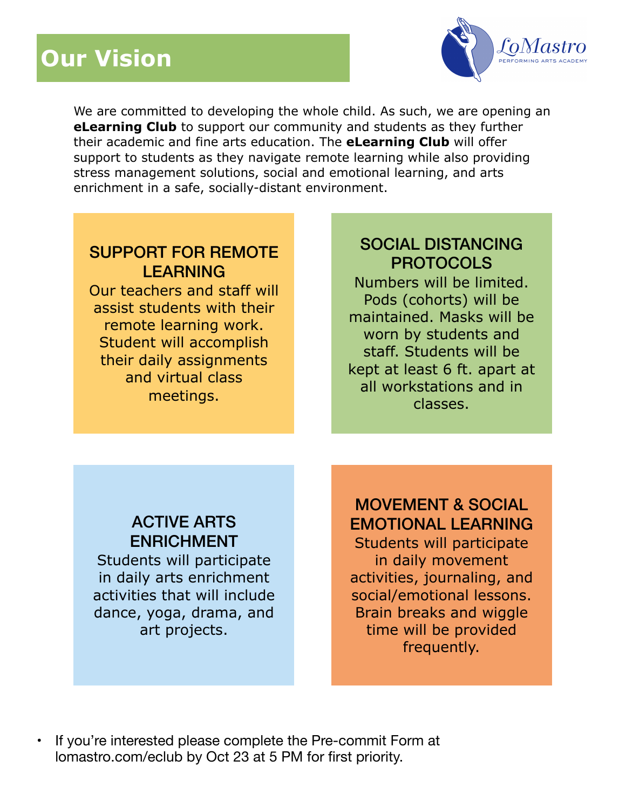# **Our Vision**



We are committed to developing the whole child. As such, we are opening an **eLearning Club** to support our community and students as they further their academic and fine arts education. The **eLearning Club** will offer support to students as they navigate remote learning while also providing stress management solutions, social and emotional learning, and arts enrichment in a safe, socially-distant environment.

### SUPPORT FOR REMOTE LEARNING

Our teachers and staff will assist students with their remote learning work. Student will accomplish their daily assignments and virtual class meetings.

## SOCIAL DISTANCING PROTOCOLS

Numbers will be limited. Pods (cohorts) will be maintained. Masks will be worn by students and staff. Students will be kept at least 6 ft. apart at all workstations and in classes.

## ACTIVE ARTS ENRICHMENT

Students will participate in daily arts enrichment activities that will include dance, yoga, drama, and art projects.

# MOVEMENT & SOCIAL EMOTIONAL LEARNING

Students will participate in daily movement activities, journaling, and social/emotional lessons. Brain breaks and wiggle time will be provided frequently.

• If you're interested please complete the Pre-commit Form at [lomastro.com/](http://lomastro.com)eclub by Oct 23 at 5 PM for first priority.